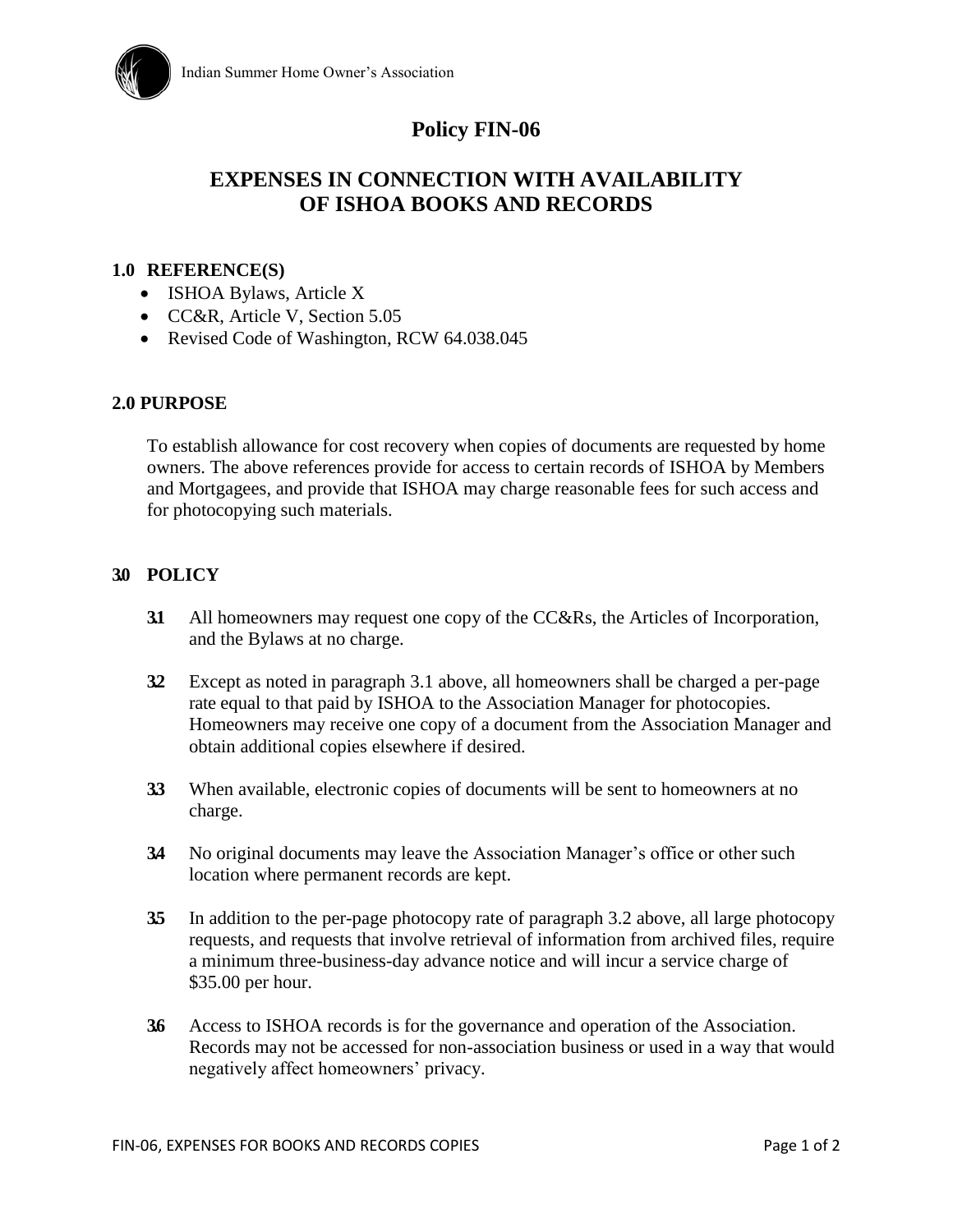

## **Policy FIN-06**

# **EXPENSES IN CONNECTION WITH AVAILABILITY OF ISHOA BOOKS AND RECORDS**

#### **1.0 REFERENCE(S)**

- ISHOA Bylaws, Article X
- CC&R, Article V, Section 5.05
- Revised Code of Washington, RCW 64.038.045

#### **2.0 PURPOSE**

To establish allowance for cost recovery when copies of documents are requested by home owners. The above references provide for access to certain records of ISHOA by Members and Mortgagees, and provide that ISHOA may charge reasonable fees for such access and for photocopying such materials.

#### **3.0 POLICY**

- **3.1** All homeowners may request one copy of the CC&Rs, the Articles of Incorporation, and the Bylaws at no charge.
- **3.2** Except as noted in paragraph 3.1 above, all homeowners shall be charged a per-page rate equal to that paid by ISHOA to the Association Manager for photocopies. Homeowners may receive one copy of a document from the Association Manager and obtain additional copies elsewhere if desired.
- **3.3** When available, electronic copies of documents will be sent to homeowners at no charge.
- **3.4** No original documents may leave the Association Manager's office or other such location where permanent records are kept.
- **3.5** In addition to the per-page photocopy rate of paragraph 3.2 above, all large photocopy requests, and requests that involve retrieval of information from archived files, require a minimum three-business-day advance notice and will incur a service charge of \$35.00 per hour.
- **3.6** Access to ISHOA records is for the governance and operation of the Association. Records may not be accessed for non-association business or used in a way that would negatively affect homeowners' privacy.